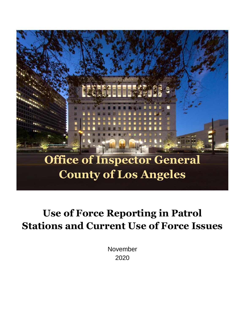

# **Use of Force Reporting in Patrol Stations and Current Use of Force Issues**

November 2020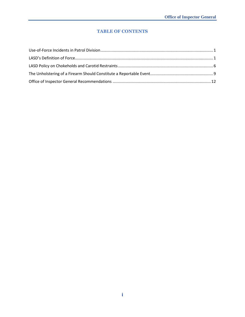#### **TABLE OF CONTENTS**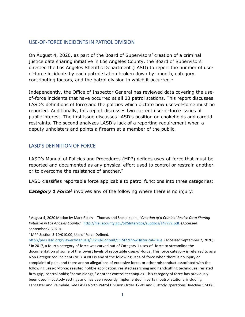# <span id="page-2-0"></span>USE-OF-FORCE INCIDENTS IN PATROL DIVISION

On August 4, 2020, as part of the Board of Supervisors' creation of a criminal justice data sharing initiative in Los Angeles County, the Board of Supervisors directed the Los Angeles Sheriff's Department (LASD) to report the number of useof-force incidents by each patrol station broken down by: month, category, contributing factors, and the patrol division in which it occurred. $<sup>1</sup>$ </sup>

Independently, the Office of Inspector General has reviewed data covering the useof-force incidents that have occurred at all 23 patrol stations. This report discusses LASD's definitions of force and the policies which dictate how uses-of-force must be reported. Additionally, this report discusses two current use-of-force issues of public interest. The first issue discusses LASD's position on chokeholds and carotid restraints. The second analyzes LASD's lack of a reporting requirement when a deputy unholsters and points a firearm at a member of the public.

# <span id="page-2-1"></span>LASD'S DEFINITION OF FORCE

LASD's Manual of Policies and Procedures (MPP) defines uses-of-force that must be reported and documented as any physical effort used to control or restrain another, or to overcome the resistance of another.<sup>2</sup>

LASD classifies reportable force applicable to patrol functions into three categories:

**Category 1 Force**<sup>3</sup> involves any of the following where there is no injury:

<sup>1</sup> August 4, 2020 Motion by Mark Ridley – Thomas and Sheila Kuehl, "*Creation of a Criminal Justice Data Sharing Initiative in Los Angeles County*." [http://file.lacounty.gov/SDSInter/bos/supdocs/147772.pdf.](http://file.lacounty.gov/SDSInter/bos/supdocs/147772.pdf) (Accessed September 2, 2020).

<sup>2</sup> MPP Section 3-10/010.00, Use of Force Defined.

[http://pars.lasd.org/Viewer/Manuals/11239/Content/11242?showHistorical=True.](http://pars.lasd.org/Viewer/Manuals/11239/Content/11242?showHistorical=True) (Accessed September 2, 2020).  $3$  In 2017, a fourth category of force was carved out of Category 1 uses-of -force to streamline the documentation of some of the lowest levels of reportable uses-of-force. This force category is referred to as a Non-Categorized Incident (NCI). A NCI is any of the following uses-of-force when there is no injury or complaint of pain, and there are no allegations of excessive force, or other misconduct associated with the following uses-of-force: resisted hobble application; resisted searching and handcuffing techniques; resisted firm grip; control holds; "come-alongs;" or other control techniques. This category of force has previously been used in custody settings and has been recently implemented in certain patrol stations, including Lancaster and Palmdale. *See* LASD North Patrol Division Order 17-01 and Custody Operations Directive 17-006.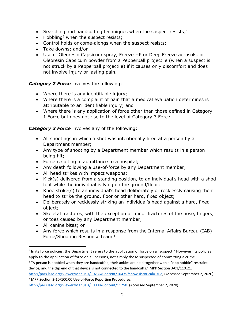- Searching and handcuffing techniques when the suspect resists; $4$
- Hobbling<sup>5</sup> when the suspect resists;
- Control holds or come-alongs when the suspect resists;
- Take downs; and/or
- Use of Oleoresin Capsicum spray, Freeze +P or Deep Freeze aerosols, or Oleoresin Capsicum powder from a Pepperball projectile (when a suspect is not struck by a Pepperball projectile) if it causes only discomfort and does not involve injury or lasting pain.

### *Category 2 Force* involves the following:

- Where there is any identifiable injury;
- Where there is a complaint of pain that a medical evaluation determines is attributable to an identifiable injury; and
- Where there is any application of force other than those defined in Category 1 Force but does not rise to the level of Category 3 Force.

*Category 3 Force* involves any of the following:

- All shootings in which a shot was intentionally fired at a person by a Department member;
- Any type of shooting by a Department member which results in a person being hit;
- Force resulting in admittance to a hospital;
- Any death following a use-of-force by any Department member;
- All head strikes with impact weapons;
- Kick(s) delivered from a standing position, to an individual's head with a shod foot while the individual is lying on the ground/floor;
- Knee strike(s) to an individual's head deliberately or recklessly causing their head to strike the ground, floor or other hard, fixed object;
- Deliberately or recklessly striking an individual's head against a hard, fixed object;
- Skeletal fractures, with the exception of minor fractures of the nose, fingers, or toes caused by any Department member;
- All canine bites; or
- Any force which results in a response from the Internal Affairs Bureau (IAB) Force/Shooting Response team.<sup>6</sup>

<sup>&</sup>lt;sup>4</sup> In its force policies, the Department refers to the application of force on a "suspect." However, its policies apply to the application of force on all persons, not simply those suspected of committing a crime.

<sup>&</sup>lt;sup>5</sup> "A person is hobbled when they are handcuffed, their ankles are held together with a "ripp hobble" restraint device, and the clip end of that device is not connected to the handcuffs." MPP Section 3-01/110.21.

[http://pars.lasd.org/Viewer/Manuals/10236/Content/10435?showHistorical=True,](http://pars.lasd.org/Viewer/Manuals/10236/Content/10435?showHistorical=True) (Accessed September 2, 2020). <sup>6</sup> MPP Section 3-10/100.00 Use-of-Force Reporting Procedures.

[http://pars.lasd.org/Viewer/Manuals/10008/Content/11250.](http://pars.lasd.org/Viewer/Manuals/10008/Content/11250) (Accessed September 2, 2020).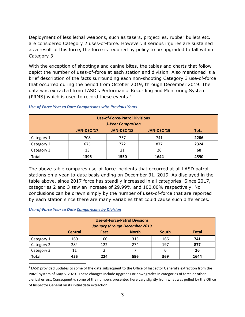Deployment of less lethal weapons, such as tasers, projectiles, rubber bullets etc. are considered Category 2 uses-of-force. However, if serious injuries are sustained as a result of this force, the force is required by policy to be upgraded to fall within Category 3.

With the exception of shootings and canine bites, the tables and charts that follow depict the number of uses-of-force at each station and division. Also mentioned is a brief description of the facts surrounding each non-shooting Category 3 use-of-force that occurred during the period from October 2019, through December 2019. The data was extracted from LASD's Performance Recording and Monitoring System (PRMS) which is used to record these events.<sup>7</sup>

| <b>Use-of-Force-Patrol Divisions</b>                             |      |      |      |      |  |  |  |
|------------------------------------------------------------------|------|------|------|------|--|--|--|
| <b>3-Year Comparison</b>                                         |      |      |      |      |  |  |  |
| JAN-DEC '17<br>JAN-DEC '18<br><b>JAN-DEC '19</b><br><b>Total</b> |      |      |      |      |  |  |  |
| Category 1                                                       | 708  | 757  | 741  | 2206 |  |  |  |
| Category 2                                                       | 675  | 772  | 877  | 2324 |  |  |  |
| Category 3                                                       | 13   | 21   | 26   | 60   |  |  |  |
| <b>Total</b>                                                     | 1396 | 1550 | 1644 | 4590 |  |  |  |

#### *Use-of-Force Year to Date Comparisons with Previous Years*

The above table compares use-of-force incidents that occurred at all LASD patrol stations on a year-to-date basis ending on December 31, 2019. As displayed in the table above, since 2017 force has steadily increased in all categories. Since 2017, categories 2 and 3 saw an increase of 29.99% and 100.00% respectively. No conclusions can be drawn simply by the number of uses-of-force that are reported by each station since there are many variables that could cause such differences.

#### *Use-of-Force Year to Date Comparisons by Division*

| <b>Use-of-Force-Patrol Divisions</b> |                |      |              |       |              |  |
|--------------------------------------|----------------|------|--------------|-------|--------------|--|
| <b>January through December 2019</b> |                |      |              |       |              |  |
|                                      | <b>Central</b> | East | <b>North</b> | South | <b>Total</b> |  |
| Category 1                           | 160            | 100  | 315          | 166   | 741          |  |
| Category 2                           | 284            | 122  | 274          | 197   | 877          |  |
| Category 3                           | 11             |      |              | 6     | 26           |  |
| <b>Total</b>                         | 455            | 224  | 596          | 369   | 1644         |  |

<sup>7</sup> LASD provided updates to some of the data subsequent to the Office of Inspector General's extraction from the PRMS system of May 5, 2020. These changes include upgrades or downgrades in categories of force or other clerical errors. Consequently, some of the numbers presented here vary slightly from what was pulled by the Office of Inspector General on its initial data extraction.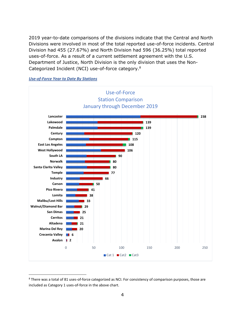2019 year-to-date comparisons of the divisions indicate that the Central and North Divisions were involved in most of the total reported use-of-force incidents. Central Division had 455 (27.67%) and North Division had 596 (36.25%) total reported uses-of-force. As a result of a current settlement agreement with the U.S. Department of Justice, North Division is the only division that uses the Non-Categorized Incident (NCI) use-of-force category.<sup>8</sup>





<sup>&</sup>lt;sup>8</sup> There was a total of 81 uses-of-force categorized as NCI. For consistency of comparison purposes, those are included as Category 1 uses-of-force in the above chart.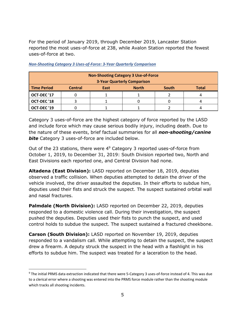For the period of January 2019, through December 2019, Lancaster Station reported the most uses-of-force at 238, while Avalon Station reported the fewest uses-of-force at two.

| <b>Non-Shooting Category 3 Use-of-Force</b><br><b>3-Year Quarterly Comparison</b> |                |      |              |              |       |
|-----------------------------------------------------------------------------------|----------------|------|--------------|--------------|-------|
| <b>Time Period</b>                                                                | <b>Central</b> | East | <b>North</b> | <b>South</b> | Total |
| OCT-DEC '17                                                                       |                |      |              |              |       |
| OCT-DEC'18                                                                        |                |      |              |              |       |
| OCT-DEC '19                                                                       |                |      |              |              |       |

*Non-Shooting Category 3 Uses-of-Force: 3-Year Quarterly Comparison*

Category 3 uses-of-force are the highest category of force reported by the LASD and include force which may cause serious bodily injury, including death. Due to the nature of these events, brief factual summaries for all *non-shooting/canine*  **bite** Category 3 uses-of-force are included below.

Out of the 23 stations, there were 4<sup>9</sup> Category 3 reported uses-of-force from October 1, 2019, to December 31, 2019: South Division reported two, North and East Divisions each reported one, and Central Division had none.

**Altadena (East Division):** LASD reported on December 18, 2019, deputies observed a traffic collision. When deputies attempted to detain the driver of the vehicle involved, the driver assaulted the deputies. In their efforts to subdue him, deputies used their fists and struck the suspect. The suspect sustained orbital wall and nasal fractures.

**Palmdale (North Division):** LASD reported on December 22, 2019, deputies responded to a domestic violence call. During their investigation, the suspect pushed the deputies. Deputies used their fists to punch the suspect, and used control holds to subdue the suspect. The suspect sustained a fractured cheekbone.

**Carson (South Division):** LASD reported on November 19, 2019, deputies responded to a vandalism call. While attempting to detain the suspect, the suspect drew a firearm. A deputy struck the suspect in the head with a flashlight in his efforts to subdue him. The suspect was treated for a laceration to the head.

<sup>&</sup>lt;sup>9</sup> The initial PRMS data extraction indicated that there were 5-Category 3 uses-of-force instead of 4. This was due to a clerical error where a shooting was entered into the PRMS force module rather than the shooting module which tracks all shooting incidents.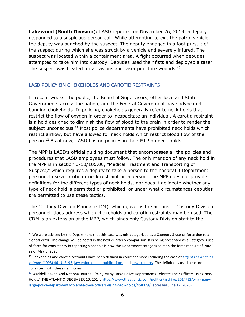**Lakewood (South Division):** LASD reported on November 26, 2019, a deputy responded to a suspicious person call. While attempting to exit the patrol vehicle, the deputy was punched by the suspect. The deputy engaged in a foot pursuit of the suspect during which she was struck by a vehicle and severely injured. The suspect was located within a containment area. A fight occurred when deputies attempted to take him into custody. Deputies used their fists and deployed a taser. The suspect was treated for abrasions and taser puncture wounds.<sup>10</sup>

# <span id="page-7-0"></span>LASD POLICY ON CHOKEHOLDS AND CAROTID RESTRAINTS

In recent weeks, the public, the Board of Supervisors, other local and State Governments across the nation, and the Federal Government have advocated banning chokeholds. In policing, chokeholds generally refer to neck holds that restrict the flow of oxygen in order to incapacitate an individual. A carotid restraint is a hold designed to diminish the flow of blood to the brain in order to render the subject unconscious. $11$  Most police departments have prohibited neck holds which restrict airflow, but have allowed for neck holds which restrict blood flow of the person.<sup>12</sup> As of now, LASD has no policies in their MPP on neck holds.

The MPP is LASD's official guiding document that encompasses all the policies and procedures that LASD employees must follow. The only mention of any neck hold in the MPP is in section 3-10/105.00, "Medical Treatment and Transporting of Suspect," which requires a deputy to take a person to the hospital if Department personnel use a carotid or neck restraint on a person. The MPP does not provide definitions for the different types of neck holds, nor does it delineate whether any type of neck hold is permitted or prohibited, or under what circumstances deputies are permitted to use these tactics.

The Custody Division Manual (CDM), which governs the actions of Custody Division personnel, does address when chokeholds and carotid restraints may be used. The CDM is an extension of the MPP, which binds only Custody Division staff to the

<sup>&</sup>lt;sup>10</sup> We were advised by the Department that this case was mis-categorized as a Category 3 use-of-force due to a clerical error. The change will be noted in the next quarterly comparison. It is being presented as a Category 3 useof-force for consistency in reporting since this is how the Department categorized it on the force module of PRMS as of May 5, 2020.

<sup>11</sup> Chokeholds and carotid restraints have been defined in court decisions including the case of *[City of Los Angeles](https://supreme.justia.com/cases/federal/us/461/95/#F1)  v. Lyons* [\(1993\) 461 U.S. 95,](https://supreme.justia.com/cases/federal/us/461/95/#F1) [law enforcement publications,](https://www.theiacp.org/sites/default/files/all/n-o/National_Consensus_Policy_On_Use_Of_Force.pdf) and [news reports.](https://www.cnn.com/2020/06/10/world/police-policies-neck-restraints-trnd/index.html) The definitions used here are consistent with these definitions.

<sup>&</sup>lt;sup>12</sup> Waddell, Kaveh And National Journal, "Why Many Large Police Departments Tolerate Their Officers Using Neck Holds," THE ATLANTIC. DECEMBER 10, 2014[. https://www.theatlantic.com/politics/archive/2014/12/why-many](https://www.theatlantic.com/politics/archive/2014/12/why-many-large-police-departments-tolerate-their-officers-using-neck-holds/458079/)[large-police-departments-tolerate-their-officers-using-neck-holds/458079/](https://www.theatlantic.com/politics/archive/2014/12/why-many-large-police-departments-tolerate-their-officers-using-neck-holds/458079/) (accessed June 12, 2020).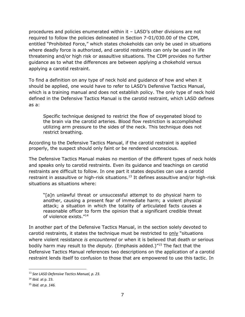procedures and policies enumerated within it – LASD's other divisions are not required to follow the policies delineated in Section 7-01/030.00 of the CDM, entitled "Prohibited Force," which states chokeholds can only be used in situations where deadly force is authorized, and carotid restraints can only be used in life threatening and/or high risk or assaultive situations. The CDM provides no further guidance as to what the differences are between applying a chokehold versus applying a carotid restraint.

To find a definition on any type of neck hold and guidance of how and when it should be applied, one would have to refer to LASD's Defensive Tactics Manual, which is a training manual and does not establish policy. The only type of neck hold defined in the Defensive Tactics Manual is the carotid restraint, which LASD defines as a:

Specific technique designed to restrict the flow of oxygenated blood to the brain via the carotid arteries. Blood flow restriction is accomplished utilizing arm pressure to the sides of the neck. This technique does not restrict breathing.

According to the Defensive Tactics Manual, if the carotid restraint is applied properly, the suspect should only faint or be rendered unconscious.

The Defensive Tactics Manual makes no mention of the different types of neck holds and speaks only to carotid restraints. Even its guidance and teachings on carotid restraints are difficult to follow. In one part it states deputies can use a carotid restraint in assaultive or high-risk situations.<sup>13</sup> It defines assaultive and/or high-risk situations as situations where:

"[a]n unlawful threat or unsuccessful attempt to do physical harm to another, causing a present fear of immediate harm; a violent physical attack; a situation in which the totality of articulated facts causes a reasonable officer to form the opinion that a significant credible threat of violence exists."<sup>14</sup>

In another part of the Defensive Tactics Manual, in the section solely devoted to carotid restraints, it states the technique must be restricted to only "situations where violent resistance *is encountered* or when it is believed that death or serious bodily harm may result to the *deputy.* (Emphasis added.)"<sup>15</sup> The fact that the Defensive Tactics Manual references two descriptions on the application of a carotid restraint lends itself to confusion to those that are empowered to use this tactic. In

<sup>13</sup> *See LASD Defensive Tactics Manual, p. 23.*

<sup>14</sup> *Ibid.* at p. 23.

<sup>15</sup> *Ibid. at p. 146.*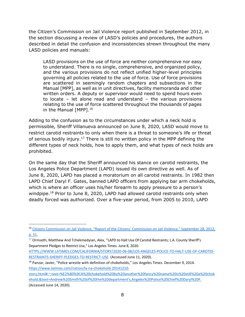the Citizen's Commission on Jail Violence report published in September 2012, in the section discussing a review of LASD's policies and procedures, the authors described in detail the confusion and inconsistencies strewn throughout the many LASD policies and manuals:

LASD provisions on the use of force are neither comprehensive nor easy to understand. There is no single, comprehensive, and organized policy, and the various provisions do not reflect unified higher-level principles governing all policies related to the use of force. Use of force provisions are scattered in seemingly random chapters and subsections in the Manual [MPP], as well as in unit directives, facility memoranda and other written orders. A deputy or supervisor would need to spend hours even to locate – let alone read and understand – the various provisions relating to the use of force scattered throughout the thousands of pages in the Manual [MPP].<sup>16</sup>

Adding to the confusion as to the circumstances under which a neck hold is permissible, Sheriff Villanueva announced on June 8, 2020, LASD would move to restrict carotid restraints to only when there is a threat to someone's life or threat of serious bodily injury.<sup>17</sup> There is still no written policy in the MPP defining the different types of neck holds, how to apply them, and what types of neck holds are prohibited.

On the same day that the Sheriff announced his stance on carotid restraints, the Los Angeles Police Department (LAPD) issued its own directive as well. As of June 8, 2020, LAPD has placed a moratorium on all carotid restraints. In 1982 then LAPD Chief Daryl F. Gates, banned LAPD officers from applying bar arm chokeholds, which is where an officer uses his/her forearm to apply pressure to a person's windpipe.<sup>18</sup> Prior to June 8, 2020, LAPD had allowed carotid restraints only when deadly forced was authorized. Over a five-year period, from 2005 to 2010, LAPD

[HTTPS://WWW.LATIMES.COM/CALIFORNIA/STORY/2020-06-08/LOS-ANGELES-POLICE-TO-HALT-USE-OF-CAROTID-](https://www.latimes.com/california/story/2020-06-08/los-angeles-police-to-halt-use-of-carotid-restraints-sheriff-pledges-to-restrict-use)[RESTRAINTS-SHERIFF-PLEDGES-TO-RESTRICT-USE.](https://www.latimes.com/california/story/2020-06-08/los-angeles-police-to-halt-use-of-carotid-restraints-sheriff-pledges-to-restrict-use) (Accessed June 11, 2020).

[story.html#:~:text=%E2%80%9CA%20chokehold%20by%20another%20fancy%20name%20is%20still%20a%20chok](https://www.latimes.com/nation/la-na-chokehold-20141210-story.html#:~:text=%E2%80%9CA%20chokehold%20by%20another%20fancy%20name%20is%20still%20a%20chokehold.&text=Andrew%20Smith%20of%20the%20department) [ehold.&text=Andrew%20Smith%20of%20the%20department's,Angeles%20Police%20Chief%20Daryl%20F.](https://www.latimes.com/nation/la-na-chokehold-20141210-story.html#:~:text=%E2%80%9CA%20chokehold%20by%20another%20fancy%20name%20is%20still%20a%20chokehold.&text=Andrew%20Smith%20of%20the%20department) (Accessed June 14, 2020).

<sup>&</sup>lt;sup>16</sup> Citizens Commission on Jail Violence, "Report of the Citizens' Commission on Jail Violence," September 28, 2012, [p. 51.](https://ccjv.lacounty.gov/wp-content/uploads/2012/09/CCJV-Report.pdf)

 $17$  Ormseth, Matthew And Tchekmedyian, Alex, "LAPD to Halt Use Of Carotid Restraints; L.A. County Sheriff's Department Pledges to Restrict Use," Los Angeles Times. June 8, 2020.

<sup>&</sup>lt;sup>18</sup> Panzar, Javier, "Police wrestle with definition of chokeholds," Los Angeles Times. December 9, 2014. [https://www.latimes.com/nation/la-na-chokehold-20141210-](https://www.latimes.com/nation/la-na-chokehold-20141210-story.html#:~:text=%E2%80%9CA%20chokehold%20by%20another%20fancy%20name%20is%20still%20a%20chokehold.&text=Andrew%20Smith%20of%20the%20department)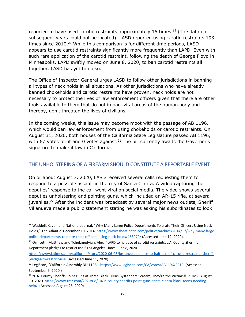reported to have used carotid restraints approximately 15 times.<sup>19</sup> (The data on subsequent years could not be located). LASD reported using carotid restraints 193 times since 2010.<sup>20</sup> While this comparison is for different time periods, LASD appears to use carotid restraints significantly more frequently than LAPD. Even with such rare application of the carotid restraint, following the death of George Floyd in Minneapolis, LAPD swiftly moved on June 8, 2020, to ban carotid restraints all together. LASD has yet to do so.

The Office of Inspector General urges LASD to follow other jurisdictions in banning all types of neck holds in all situations. As other jurisdictions who have already banned chokeholds and carotid restraints have proven, neck holds are not necessary to protect the lives of law enforcement officers given that there are other tools available to them that do not impact vital areas of the human body and thereby, don't threaten the lives of civilians.

In the coming weeks, this issue may become moot with the passage of AB 1196, which would ban law enforcement from using chokeholds or carotid restraints. On August 31, 2020, both houses of the California State Legislature passed AB 1196, with 67 votes for it and 0 votes against.<sup>21</sup> The bill currently awaits the Governor's signature to make it law in California.

# <span id="page-10-0"></span>THE UNHOLSTERING OF A FIREARM SHOULD CONSTITUTE A REPORTABLE EVENT

On or about August 7, 2020, LASD received several calls requesting them to respond to a possible assault in the city of Santa Clarita. A video capturing the deputies' response to the call went viral on social media. The video shows several deputies unholstering and pointing guns, which included an AR-15 rifle, at several juveniles.<sup>22</sup> After the incident was broadcast by several major news outlets, Sheriff Villanueva made a public statement stating he was asking his subordinates to look

<sup>&</sup>lt;sup>19</sup> Waddell, Kaveh and National Journal, "Why Many Large Police Departments Tolerate Their Officers Using Neck Holds," The Atlantic. December 10, 2014. [https://www.theatlantic.com/politics/archive/2014/12/why-many-large](https://www.theatlantic.com/politics/archive/2014/12/why-many-large-police-departments-tolerate-their-officers-using-neck-holds/458079/)[police-departments-tolerate-their-officers-using-neck-holds/458079/](https://www.theatlantic.com/politics/archive/2014/12/why-many-large-police-departments-tolerate-their-officers-using-neck-holds/458079/) (Accessed June 12, 2020).

<sup>&</sup>lt;sup>20</sup> Ormseth, Matthew and Tchekmedyian, Alex, "LAPD to halt use of carotid restraints; L.A. County Sheriff's Department pledges to restrict use," Los Angeles Times. June 8, 2020.

[https://www.latimes.com/california/story/2020-06-08/los-angeles-police-to-halt-use-of-carotid-restraints-sheriff](https://www.latimes.com/california/story/2020-06-08/los-angeles-police-to-halt-use-of-carotid-restraints-sheriff-pledges-to-restrict-use)[pledges-to-restrict-use.](https://www.latimes.com/california/story/2020-06-08/los-angeles-police-to-halt-use-of-carotid-restraints-sheriff-pledges-to-restrict-use) (Accessed June 11, 2020).

<sup>21</sup> LegiScan, "California Assembly Bill 1196." [https://www.legiscan.com/CA/votes/AB1196/2019.](https://www.legiscan.com/CA/votes/AB1196/2019) (Accessed September 9. 2020.)

<sup>&</sup>lt;sup>22</sup> "L.A. County Sheriffs Point Guns at Three Black Teens Bystanders Scream, They're the Victims!!!," TMZ. August 10, 2020. [https://www.tmz.com/2020/08/10/la-county-sheriffs-point-guns-santa-clarita-black-teens-needing](https://www.tmz.com/2020/08/10/la-county-sheriffs-point-guns-santa-clarita-black-teens-needing-help/)[help/.](https://www.tmz.com/2020/08/10/la-county-sheriffs-point-guns-santa-clarita-black-teens-needing-help/) (Accessed August 25, 2020).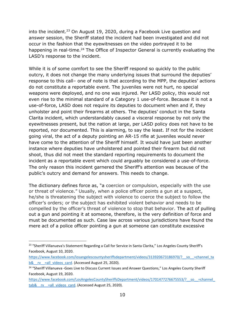into the incident.<sup>23</sup> On August 19, 2020, during a Facebook Live question and answer session, the Sheriff stated the incident had been investigated and did not occur in the fashion that the eyewitnesses on the video portrayed it to be happening in real-time.<sup>24</sup> The Office of Inspector General is currently evaluating the LASD's response to the incident.

While it is of some comfort to see the Sheriff respond so quickly to the public outcry, it does not change the many underlying issues that surround the deputies' response to this call– one of note is that according to the MPP, the deputies' actions do not constitute a reportable event. The juveniles were not hurt, no special weapons were deployed, and no one was injured. Per LASD policy, this would not even rise to the minimal standard of a Category 1 use-of-force. Because it is not a use-of-force, LASD does not require its deputies to document when and if, they unholster and point their firearms at others. The deputies' conduct in the Santa Clarita incident, which understandably caused a visceral response by not only the eyewitnesses present, but the nation at large, per LASD policy does not have to be reported, nor documented. This is alarming, to say the least. If not for the incident going viral, the act of a deputy pointing an AR-15 rifle at juveniles would never have come to the attention of the Sheriff himself. It would have just been another instance where deputies have unholstered and pointed their firearm but did not shoot, thus did not meet the standard reporting requirements to document the incident as a reportable event which could arguably be considered a use-of-force. The only reason this incident garnered the Sheriff's attention was because of the public's outcry and demand for answers. This needs to change.

The dictionary defines force as, "a coercion or compulsion, especially with the use or threat of violence." Usually, when a police officer points a gun at a suspect, he/she is threatening the subject with violence to coerce the subject to follow the officer's orders; or the subject has exhibited violent behavior and needs to be compelled by the officer's threat of violence to stop that behavior. The act of pulling out a gun and pointing it at someone, therefore, is the very definition of force and must be documented as such. Case law across various jurisdictions have found the mere act of a police officer pointing a gun at someone can constitute excessive

<sup>&</sup>lt;sup>23</sup> "Sheriff Villanueva's Statement Regarding a Call for Service in Santa Clarita," Los Angeles County Sheriff's Facebook, August 10, 2020.

https://www.facebook.com/losangelescountysheriffsdepartment/videos/313920673186970/? so =channel\_ta b& rv =all\_videos\_card. (Accessed August 25, 2020).

<sup>&</sup>lt;sup>24</sup> "Sheriff Villanueva -Goes Live to Discuss Current Issues and Answer Questions," Los Angeles County Sheriff Facebook, August 19, 2020.

https://www.facebook.com/LosAngelesCountySheriffsDepartment/videos/1701477276675553/? so =channel tab& rv =all\_videos\_card. (Accessed August 25, 2020).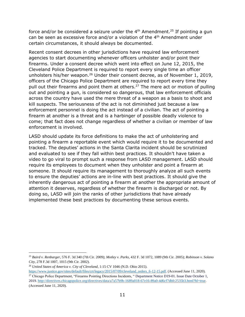force and/or be considered a seizure under the  $4<sup>th</sup>$  Amendment.<sup>25</sup> If pointing a gun can be seen as excessive force and/or a violation of the 4<sup>th</sup> Amendment under certain circumstances, it should always be documented.

Recent consent decrees in other jurisdictions have required law enforcement agencies to start documenting whenever officers unholster and/or point their firearms. Under a consent decree which went into effect on June 12, 2015, the Cleveland Police Department is required to report every single time an officer unholsters his/her weapon.<sup>26</sup> Under their consent decree, as of November 1, 2019, officers of the Chicago Police Department are required to report every time they pull out their firearms and point them at others.<sup>27</sup> The mere act or motion of pulling out and pointing a gun, is considered so dangerous, that law enforcement officials across the country have used the mere threat of a weapon as a basis to shoot and kill suspects. The seriousness of the act is not diminished just because a law enforcement personnel is doing the act instead of a civilian. The act of pointing a firearm at another is a threat and is a harbinger of possible deadly violence to come; that fact does not change regardless of whether a civilian or member of law enforcement is involved.

LASD should update its force definitions to make the act of unholstering and pointing a firearm a reportable event which would require it to be documented and tracked. The deputies' actions in the Santa Clarita incident should be scrutinized and evaluated to see if they fall within best practices. It shouldn't have taken a video to go viral to prompt such a response from LASD management. LASD should require its employees to document when they unholster and point a firearm at someone. It should require its management to thoroughly analyze all such events to ensure the deputies' actions are in-line with best practices. It should give the inherently dangerous act of pointing a firearm at another the appropriate amount of attention it deserves, regardless of whether the firearm is discharged or not. By doing so, LASD will join the ranks of other jurisdictions that have already implemented these best practices by documenting these serious events.

<sup>25</sup> *Baird v. Renbarger*, 576 F. 3d 340 (7th Cir. 2009); *Motley v. Parks*, 432 F. 3d 1072, 1089 (9th Cir. 2005); *Robinson v. Solano City*, 278 F.3d 1007, 1015 (9th Cir. 2002).

<sup>26</sup> *United States of America v. City of Cleveland*, 1:15 CV 1046 (N.D. Ohio 2015).

[https://www.justice.gov/sites/default/files/crt/legacy/2015/07/09/cleveland\\_orders\\_6-12-15.pdf.](https://www.justice.gov/sites/default/files/crt/legacy/2015/07/09/cleveland_orders_6-12-15.pdf) (Accessed June 11, 2020). <sup>27</sup> Chicago Police Department, "Firearms Pointing Directions Incidents, " Department Notice D19-01. Issue Date October 1, 2019[. http://directives.chicagopolice.org/directives/data/a7a57b9b-1689a018-67e16-89a0-4d6cf7dbfc2535b3.html?hl=true.](http://directives.chicagopolice.org/directives/data/a7a57b9b-1689a018-67e16-89a0-4d6cf7dbfc2535b3.html?hl=true) (Accessed June 11, 2020).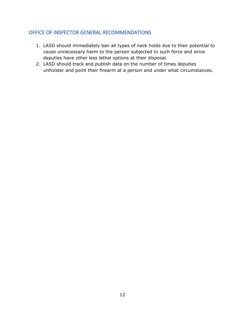## <span id="page-13-0"></span>OFFICE OF INSPECTOR GENERAL RECOMMENDATIONS

- 1. LASD should immediately ban all types of neck holds due to their potential to cause unnecessary harm to the person subjected to such force and since deputies have other less lethal options at their disposal.
- 2. LASD should track and publish data on the number of times deputies unholster and point their firearm at a person and under what circumstances.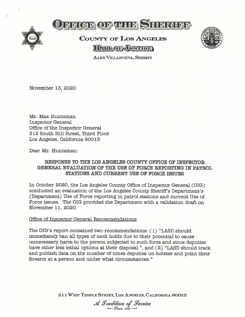



# **COUNTY OF LOS ANGELES HATLOF JUSTICE**



**ALEX VILLANUEVA, SHERIFF** 

November 13, 2020

Mr. Max Huntsman **Inspector General** Office of the Inspector General 312 South Hill Street, Third Floor Los Angeles, California 90013

Dear Mr. Huntsman:

### RESPONSE TO THE LOS ANGELES COUNTY OFFICE OF INSPECTOR GENERAL EVALUATION OF THE USE OF FORCE REPORTING IN PATROL. STATIONS AND CURRENT USE OF FORCE ISSUES

In October 2020, the Los Angeles County Office of Inspector General (OIG) conducted an evaluation of the Los Angeles County Sheriff's Department's (Department) Use of Force reporting in patrol stations and current Use of Force issues. The OIG provided the Department with a validation draft on November 11, 2020.

#### Office of Inspector General Recommendations

The OIG's report contained two recommendations: (1) "LASD should immediately ban all types of neck holds due to their potential to cause unnecessary harm to the person subjected to such force and since deputies have other less lethal options at their disposal.", and (2) "LASD should track and publish data on the number of times deputies un-holster and point their firearm at a person and under what circumstances."

211 WEST TEMPLE STREET, LOS ANGELES, CALIFORNIA 90012

A Tradition of Service